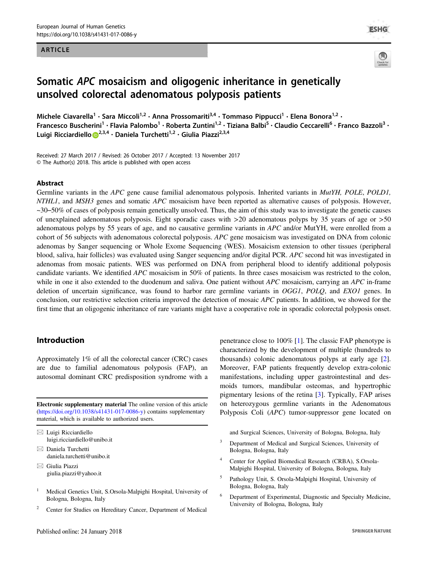#### ARTICLE



**ESHG** 

# Somatic APC mosaicism and oligogenic inheritance in genetically unsolved colorectal adenomatous polyposis patients

Michele Ciavarella<sup>1</sup> • Sara Miccoli<sup>1,2</sup> • Anna Prossomariti<sup>3,4</sup> • Tommaso Pippucci<sup>1</sup> • Elena Bonora<sup>1,2</sup> • Francesco Buscherini<sup>1</sup> • Flavia Palombo<sup>1</sup> • Roberta Zuntini<sup>1,2</sup> • Tiziana Balbi<sup>5</sup> • Claudio Ceccarelli<sup>6</sup> • Franco Bazzoli<sup>3</sup> • Luigi Ricciardiello D<sup>[2](http://orcid.org/0000-0003-2568-6208),3,4</sup> · Daniela Turchetti<sup>1,2</sup> · Giulia Piazzi<sup>2,3,4</sup>

Received: 27 March 2017 / Revised: 26 October 2017 / Accepted: 13 November 2017 © The Author(s) 2018. This article is published with open access

#### Abstract

Germline variants in the APC gene cause familial adenomatous polyposis. Inherited variants in MutYH, POLE, POLD1, NTHL1, and MSH3 genes and somatic APC mosaicism have been reported as alternative causes of polyposis. However,  $\sim$ 30–50% of cases of polyposis remain genetically unsolved. Thus, the aim of this study was to investigate the genetic causes of unexplained adenomatous polyposis. Eight sporadic cases with >20 adenomatous polyps by 35 years of age or >50 adenomatous polyps by 55 years of age, and no causative germline variants in APC and/or MutYH, were enrolled from a cohort of 56 subjects with adenomatous colorectal polyposis. APC gene mosaicism was investigated on DNA from colonic adenomas by Sanger sequencing or Whole Exome Sequencing (WES). Mosaicism extension to other tissues (peripheral blood, saliva, hair follicles) was evaluated using Sanger sequencing and/or digital PCR. APC second hit was investigated in adenomas from mosaic patients. WES was performed on DNA from peripheral blood to identify additional polyposis candidate variants. We identified APC mosaicism in 50% of patients. In three cases mosaicism was restricted to the colon, while in one it also extended to the duodenum and saliva. One patient without  $APC$  mosaicism, carrying an  $APC$  in-frame deletion of uncertain significance, was found to harbor rare germline variants in OGG1, POLO, and EXO1 genes. In conclusion, our restrictive selection criteria improved the detection of mosaic APC patients. In addition, we showed for the first time that an oligogenic inheritance of rare variants might have a cooperative role in sporadic colorectal polyposis onset.

#### Introduction

Approximately 1% of all the colorectal cancer (CRC) cases are due to familial adenomatous polyposis (FAP), an autosomal dominant CRC predisposition syndrome with a

Electronic supplementary material The online version of this article ([https://doi.org/10.1038/s41431-017-0086-y\)](https://doi.org/10.1038/s41431-017-0086-y) contains supplementary material, which is available to authorized users.

 $\boxtimes$  Luigi Ricciardiello [luigi.ricciardiello@unibo.it](mailto:luigi.ricciardiello@unibo.it)

- $\boxtimes$  Daniela Turchetti [daniela.turchetti@unibo.it](mailto:daniela.turchetti@unibo.it)
- $\boxtimes$  Giulia Piazzi [giulia.piazzi@yahoo.it](mailto:giulia.piazzi@yahoo.it)
- <sup>1</sup> Medical Genetics Unit, S.Orsola-Malpighi Hospital, University of Bologna, Bologna, Italy
- <sup>2</sup> Center for Studies on Hereditary Cancer, Department of Medical

penetrance close to 100% [\[1](#page-7-0)]. The classic FAP phenotype is characterized by the development of multiple (hundreds to thousands) colonic adenomatous polyps at early age [[2\]](#page-7-0). Moreover, FAP patients frequently develop extra-colonic manifestations, including upper gastrointestinal and desmoids tumors, mandibular osteomas, and hypertrophic pigmentary lesions of the retina [\[3](#page-7-0)]. Typically, FAP arises on heterozygous germline variants in the Adenomatous Polyposis Coli (APC) tumor-suppressor gene located on

and Surgical Sciences, University of Bologna, Bologna, Italy

- <sup>3</sup> Department of Medical and Surgical Sciences, University of Bologna, Bologna, Italy
- <sup>4</sup> Center for Applied Biomedical Research (CRBA), S.Orsola-Malpighi Hospital, University of Bologna, Bologna, Italy
- <sup>5</sup> Pathology Unit, S. Orsola-Malpighi Hospital, University of Bologna, Bologna, Italy
- <sup>6</sup> Department of Experimental, Diagnostic and Specialty Medicine, University of Bologna, Bologna, Italy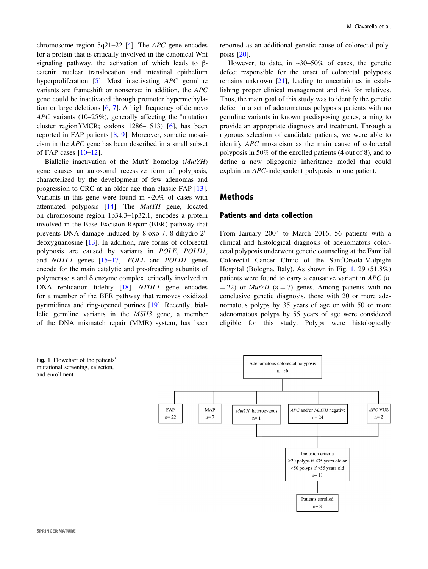<span id="page-1-0"></span>chromosome region  $5q21-22$  [[4\]](#page-7-0). The *APC* gene encodes for a protein that is critically involved in the canonical Wnt signaling pathway, the activation of which leads to βcatenin nuclear translocation and intestinal epithelium hyperproliferation [\[5](#page-7-0)]. Most inactivating *APC* germline variants are frameshift or nonsense; in addition, the APC gene could be inactivated through promoter hypermethylation or large deletions [\[6](#page-7-0), [7\]](#page-7-0). A high frequency of de novo APC variants (10–25%), generally affecting the "mutation cluster region"(MCR; codons 1286–1513) [\[6](#page-7-0)], has been reported in FAP patients [[8,](#page-7-0) [9\]](#page-7-0). Moreover, somatic mosaicism in the APC gene has been described in a small subset of FAP cases  $[10-12]$  $[10-12]$  $[10-12]$  $[10-12]$ .

Biallelic inactivation of the MutY homolog (MutYH) gene causes an autosomal recessive form of polyposis, characterized by the development of few adenomas and progression to CRC at an older age than classic FAP [\[13](#page-7-0)]. Variants in this gene were found in  $\approx 20\%$  of cases with attenuated polyposis [\[14](#page-8-0)]. The MutYH gene, located on chromosome region 1p34.3–1p32.1, encodes a protein involved in the Base Excision Repair (BER) pathway that prevents DNA damage induced by 8-oxo-7, 8-dihydro-2′ deoxyguanosine [[13\]](#page-7-0). In addition, rare forms of colorectal polyposis are caused by variants in POLE, POLD1, and NHTL1 genes [\[15](#page-8-0)–[17](#page-8-0)]. POLE and POLD1 genes encode for the main catalytic and proofreading subunits of polymerase ε and δ enzyme complex, critically involved in DNA replication fidelity [\[18](#page-8-0)]. *NTHL1* gene encodes for a member of the BER pathway that removes oxidized pyrimidines and ring-opened purines [\[19](#page-8-0)]. Recently, biallelic germline variants in the MSH3 gene, a member of the DNA mismatch repair (MMR) system, has been

reported as an additional genetic cause of colorectal polyposis [\[20](#page-8-0)].

However, to date, in  $\approx 30-50\%$  of cases, the genetic defect responsible for the onset of colorectal polyposis remains unknown [[21\]](#page-8-0), leading to uncertainties in establishing proper clinical management and risk for relatives. Thus, the main goal of this study was to identify the genetic defect in a set of adenomatous polyposis patients with no germline variants in known predisposing genes, aiming to provide an appropriate diagnosis and treatment. Through a rigorous selection of candidate patients, we were able to identify APC mosaicism as the main cause of colorectal polyposis in 50% of the enrolled patients (4 out of 8), and to define a new oligogenic inheritance model that could explain an APC-independent polyposis in one patient.

#### Methods

#### Patients and data collection

From January 2004 to March 2016, 56 patients with a clinical and histological diagnosis of adenomatous colorectal polyposis underwent genetic counseling at the Familial Colorectal Cancer Clinic of the Sant'Orsola-Malpighi Hospital (Bologna, Italy). As shown in Fig. 1, 29 (51.8%) patients were found to carry a causative variant in APC (n  $= 22$ ) or *MutYH* ( $n = 7$ ) genes. Among patients with no conclusive genetic diagnosis, those with 20 or more adenomatous polyps by 35 years of age or with 50 or more adenomatous polyps by 55 years of age were considered eligible for this study. Polyps were histologically

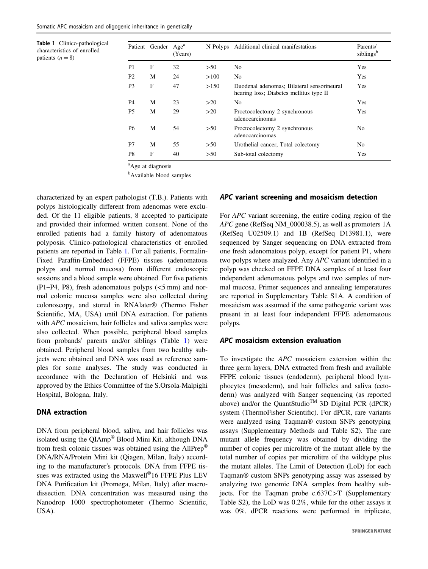Table 1 Clinico-pathological characteristics of enrolled patients  $(n = 8)$ 

| Patient        | Gender | Age <sup>a</sup><br>(Years) | N Polyps | Additional clinical manifestations                                                    | Parents/<br>siblings <sup>b</sup> |
|----------------|--------|-----------------------------|----------|---------------------------------------------------------------------------------------|-----------------------------------|
| P1             | F      | 32                          | >50      | No                                                                                    | Yes                               |
| P <sub>2</sub> | M      | 24                          | >100     | N <sub>0</sub>                                                                        | Yes                               |
| P <sub>3</sub> | F      | 47                          | >150     | Duodenal adenomas; Bilateral sensorineural<br>hearing loss; Diabetes mellitus type II | Yes                               |
| P <sub>4</sub> | M      | 23                          | >20      | N <sub>0</sub>                                                                        | Yes                               |
| P <sub>5</sub> | М      | 29                          | >20      | Proctocolectomy 2 synchronous<br>adenocarcinomas                                      | Yes                               |
| P <sub>6</sub> | M      | 54                          | >50      | Proctocolectomy 2 synchronous<br>adenocarcinomas                                      | N <sub>0</sub>                    |
| P7             | М      | 55                          | >50      | Urothelial cancer; Total colectomy                                                    | N <sub>0</sub>                    |
| P <sub>8</sub> | F      | 40                          | >50      | Sub-total colectomy                                                                   | Yes                               |

<sup>a</sup>Age at diagnosis

<sup>b</sup>Available blood samples

characterized by an expert pathologist (T.B.). Patients with polyps histologically different from adenomas were excluded. Of the 11 eligible patients, 8 accepted to participate and provided their informed written consent. None of the enrolled patients had a family history of adenomatous polyposis. Clinico-pathological characteristics of enrolled patients are reported in Table 1. For all patients, Formalin-Fixed Paraffin-Embedded (FFPE) tissues (adenomatous polyps and normal mucosa) from different endoscopic sessions and a blood sample were obtained. For five patients  $(P1-P4, P8)$ , fresh adenomatous polyps  $(<5$  mm) and normal colonic mucosa samples were also collected during colonoscopy, and stored in RNAlater® (Thermo Fisher Scientific, MA, USA) until DNA extraction. For patients with *APC* mosaicism, hair follicles and saliva samples were also collected. When possible, peripheral blood samples from probands' parents and/or siblings (Table 1) were obtained. Peripheral blood samples from two healthy subjects were obtained and DNA was used as reference samples for some analyses. The study was conducted in accordance with the Declaration of Helsinki and was approved by the Ethics Committee of the S.Orsola-Malpighi Hospital, Bologna, Italy.

#### DNA extraction

DNA from peripheral blood, saliva, and hair follicles was isolated using the QIAmp® Blood Mini Kit, although DNA from fresh colonic tissues was obtained using the AllPrep® DNA/RNA/Protein Mini kit (Qiagen, Milan, Italy) according to the manufacturer's protocols. DNA from FFPE tissues was extracted using the Maxwell<sup>®</sup>16 FFPE Plus LEV DNA Purification kit (Promega, Milan, Italy) after macrodissection. DNA concentration was measured using the Nanodrop 1000 spectrophotometer (Thermo Scientific, USA).

## APC variant screening and mosaicism detection

For APC variant screening, the entire coding region of the APC gene (RefSeq NM\_000038.5), as well as promoters 1A (RefSeq U02509.1) and 1B (RefSeq D13981.1), were sequenced by Sanger sequencing on DNA extracted from one fresh adenomatous polyp, except for patient P1, where two polyps where analyzed. Any APC variant identified in a polyp was checked on FFPE DNA samples of at least four independent adenomatous polyps and two samples of normal mucosa. Primer sequences and annealing temperatures are reported in Supplementary Table S1A. A condition of mosaicism was assumed if the same pathogenic variant was present in at least four independent FFPE adenomatous polyps.

#### APC mosaicism extension evaluation

To investigate the APC mosaicism extension within the three germ layers, DNA extracted from fresh and available FFPE colonic tissues (endoderm), peripheral blood lymphocytes (mesoderm), and hair follicles and saliva (ectoderm) was analyzed with Sanger sequencing (as reported above) and/or the QuantStudio<sup>TM</sup> 3D Digital PCR (dPCR) system (ThermoFisher Scientific). For dPCR, rare variants were analyzed using Taqman® custom SNPs genotyping assays (Supplementary Methods and Table S2). The rare mutant allele frequency was obtained by dividing the number of copies per microlitre of the mutant allele by the total number of copies per microlitre of the wildtype plus the mutant alleles. The Limit of Detection (LoD) for each Taqman® custom SNPs genotyping assay was assessed by analyzing two genomic DNA samples from healthy subjects. For the Taqman probe c.637C>T (Supplementary Table S2), the LoD was 0.2%, while for the other assays it was 0%. dPCR reactions were performed in triplicate,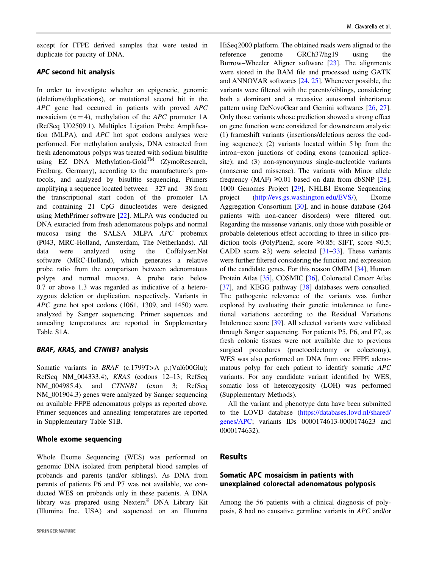except for FFPE derived samples that were tested in duplicate for paucity of DNA.

## APC second hit analysis

In order to investigate whether an epigenetic, genomic (deletions/duplications), or mutational second hit in the APC gene had occurred in patients with proved APC mosaicism  $(n = 4)$ , methylation of the *APC* promoter 1A (RefSeq U02509.1), Multiplex Ligation Probe Amplification (MLPA), and APC hot spot codons analyses were performed. For methylation analysis, DNA extracted from fresh adenomatous polyps was treated with sodium bisulfite using EZ DNA Methylation-Gold<sup>TM</sup> (ZymoResearch, Freiburg, Germany), according to the manufacturer's protocols, and analyzed by bisulfite sequencing. Primers amplifying a sequence located between −327 and −38 from the transcriptional start codon of the promoter 1A and containing 21 CpG dinucleotides were designed using MethPrimer software [[22\]](#page-8-0). MLPA was conducted on DNA extracted from fresh adenomatous polyps and normal mucosa using the SALSA MLPA APC probemix (P043, MRC-Holland, Amsterdam, The Netherlands). All data were analyzed using the Coffalyser.Net software (MRC-Holland), which generates a relative probe ratio from the comparison between adenomatous polyps and normal mucosa. A probe ratio below 0.7 or above 1.3 was regarded as indicative of a heterozygous deletion or duplication, respectively. Variants in APC gene hot spot codons (1061, 1309, and 1450) were analyzed by Sanger sequencing. Primer sequences and annealing temperatures are reported in Supplementary Table S1A.

#### BRAF, KRAS, and CTNNB1 analysis

Somatic variants in BRAF (c.1799T>A p.(Val600Glu); RefSeq NM\_004333.4), KRAS (codons 12–13; RefSeq NM\_004985.4), and *CTNNB1* (exon 3; RefSeq NM\_001904.3) genes were analyzed by Sanger sequencing on available FFPE adenomatous polyps as reported above. Primer sequences and annealing temperatures are reported in Supplementary Table S1B.

#### Whole exome sequencing

Whole Exome Sequencing (WES) was performed on genomic DNA isolated from peripheral blood samples of probands and parents (and/or siblings). As DNA from parents of patients P6 and P7 was not available, we conducted WES on probands only in these patients. A DNA library was prepared using Nextera® DNA Library Kit (Illumina Inc. USA) and sequenced on an Illumina

HiSeq2000 platform. The obtained reads were aligned to the reference genome GRCh37/hg19 using the Burrow–Wheeler Aligner software [[23\]](#page-8-0). The alignments were stored in the BAM file and processed using GATK and ANNOVAR softwares [[24,](#page-8-0) [25\]](#page-8-0). Whenever possible, the variants were filtered with the parents/siblings, considering both a dominant and a recessive autosomal inheritance pattern using DeNovoGear and Gemini softwares [[26,](#page-8-0) [27\]](#page-8-0). Only those variants whose prediction showed a strong effect on gene function were considered for downstream analysis: (1) frameshift variants (insertions/deletions across the coding sequence); (2) variants located within 5 bp from the intron–exon junctions of coding exons (canonical splicesite); and (3) non-synonymous single-nucleotide variants (nonsense and missense). The variants with Minor allele frequency (MAF)  $\geq 0.01$  based on data from dbSNP [[28\]](#page-8-0), 1000 Genomes Project [\[29](#page-8-0)], NHLBI Exome Sequencing project (<http://evs.gs.washington.edu/EVS/>), Exome Aggregation Consortium [\[30](#page-8-0)], and in-house database (264 patients with non-cancer disorders) were filtered out. Regarding the missense variants, only those with possible or probable deleterious effect according to three in-silico prediction tools (PolyPhen2, score ≥0.85; SIFT, score ≤0.5; CADD score  $\geq$ 3) were selected [[31](#page-8-0)–[33\]](#page-8-0). These variants were further filtered considering the function and expression of the candidate genes. For this reason OMIM [[34\]](#page-8-0), Human Protein Atlas [\[35](#page-8-0)], COSMIC [[36\]](#page-8-0), Colorectal Cancer Atlas [\[37](#page-8-0)], and KEGG pathway [[38\]](#page-8-0) databases were consulted. The pathogenic relevance of the variants was further explored by evaluating their genetic intolerance to functional variations according to the Residual Variations Intolerance score [\[39](#page-8-0)]. All selected variants were validated through Sanger sequencing. For patients P5, P6, and P7, as fresh colonic tissues were not available due to previous surgical procedures (proctocolectomy or colectomy), WES was also performed on DNA from one FFPE adenomatous polyp for each patient to identify somatic APC variants. For any candidate variant identified by WES, somatic loss of heterozygosity (LOH) was performed (Supplementary Methods).

All the variant and phenotype data have been submitted to the LOVD database [\(https://databases.lovd.nl/shared/](https://databases.lovd.nl/shared/genes/APC) [genes/APC;](https://databases.lovd.nl/shared/genes/APC) variants IDs 0000174613-0000174623 and 0000174632).

## **Results**

# Somatic APC mosaicism in patients with unexplained colorectal adenomatous polyposis

Among the 56 patients with a clinical diagnosis of polyposis, 8 had no causative germline variants in APC and/or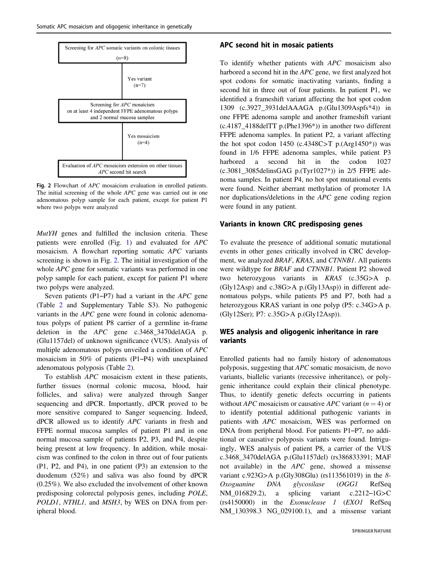

Fig. 2 Flowchart of APC mosaicism evaluation in enrolled patients. The initial screening of the whole APC gene was carried out in one adenomatous polyp sample for each patient, except for patient P1 where two polyps were analyzed

MutYH genes and fulfilled the inclusion criteria. These patients were enrolled (Fig. [1](#page-1-0)) and evaluated for APC mosaicism. A flowchart reporting somatic APC variants screening is shown in Fig. 2. The initial investigation of the whole *APC* gene for somatic variants was performed in one polyp sample for each patient, except for patient P1 where two polyps were analyzed.

Seven patients (P1–P7) had a variant in the APC gene (Table [2](#page-5-0) and Supplementary Table S3). No pathogenic variants in the APC gene were found in colonic adenomatous polyps of patient P8 carrier of a germline in-frame deletion in the *APC* gene c.3468 3470delAGA p. (Glu1157del) of unknown significance (VUS). Analysis of multiple adenomatous polyps unveiled a condition of APC mosaicism in 50% of patients (P1–P4) with unexplained adenomatous polyposis (Table [2](#page-5-0)).

To establish APC mosaicism extent in these patients, further tissues (normal colonic mucosa, blood, hair follicles, and saliva) were analyzed through Sanger sequencing and dPCR. Importantly, dPCR proved to be more sensitive compared to Sanger sequencing. Indeed, dPCR allowed us to identify APC variants in fresh and FFPE normal mucosa samples of patient P1 and in one normal mucosa sample of patients P2, P3, and P4, despite being present at low frequency. In addition, while mosaicism was confined to the colon in three out of four patients (P1, P2, and P4), in one patient (P3) an extension to the duodenum (52%) and saliva was also found by dPCR (0.25%). We also excluded the involvement of other known predisposing colorectal polyposis genes, including POLE, POLD1, NTHL1, and MSH3, by WES on DNA from peripheral blood.

#### APC second hit in mosaic patients

To identify whether patients with APC mosaicism also harbored a second hit in the APC gene, we first analyzed hot spot codons for somatic inactivating variants, finding a second hit in three out of four patients. In patient P1, we identified a frameshift variant affecting the hot spot codon 1309 (c.3927\_3931delAAAGA p.(Glu1309Aspfs\*4)) in one FFPE adenoma sample and another frameshift variant (c.4187\_4188delTT p.(Phe1396\*)) in another two different FFPE adenoma samples. In patient P2, a variant affecting the hot spot codon 1450 (c.4348C>T p.(Arg1450\*)) was found in 1/6 FFPE adenoma samples, while patient P3 harbored a second hit in the codon 1027 (c.3081\_3085delinsGAG p.(Tyr1027\*)) in 2/5 FFPE adenoma samples. In patient P4, no hot spot mutational events were found. Neither aberrant methylation of promoter 1A nor duplications/deletions in the APC gene coding region were found in any patient.

#### Variants in known CRC predisposing genes

To evaluate the presence of additional somatic mutational events in other genes critically involved in CRC development, we analyzed BRAF, KRAS, and CTNNB1. All patients were wildtype for BRAF and CTNNB1. Patient P2 showed two heterozygous variants in KRAS (c.35G>A p. (Gly12Asp) and c.38G>A p.(Gly13Asp)) in different adenomatous polyps, while patients P5 and P7, both had a heterozygous KRAS variant in one polyp (P5: c.34G>A p. (Gly12Ser); P7: c.35G>A p.(Gly12Asp)).

#### WES analysis and oligogenic inheritance in rare variants

Enrolled patients had no family history of adenomatous polyposis, suggesting that APC somatic mosaicism, de novo variants, biallelic variants (recessive inheritance), or polygenic inheritance could explain their clinical phenotype. Thus, to identify genetic defects occurring in patients without *APC* mosaicism or causative *APC* variant ( $n = 4$ ) or to identify potential additional pathogenic variants in patients with APC mosaicism, WES was performed on DNA from peripheral blood. For patients P1–P7, no additional or causative polyposis variants were found. Intriguingly, WES analysis of patient P8, a carrier of the VUS c.3468\_3470delAGA p.(Glu1157del) (rs386833391; MAF not available) in the APC gene, showed a missense variant c.923G>A p.(Gly308Glu) (rs113561019) in the 8-Oxoguanine DNA glycosilase (OGG1 RefSeq NM 016829.2), a splicing variant c.2212–1G>C (rs4150000) in the Exonuclease 1 (EXO1 RefSeq NM\_130398.3 NG\_029100.1), and a missense variant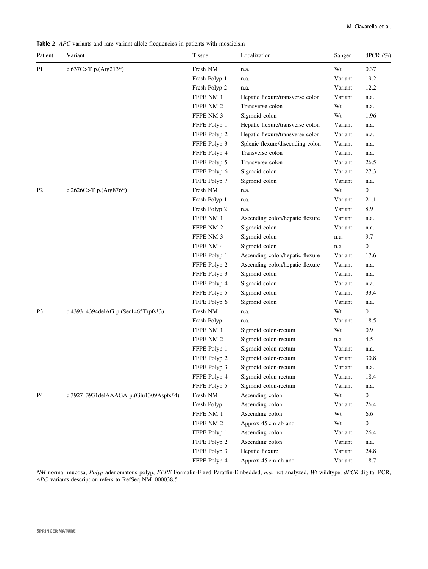<span id="page-5-0"></span>Table 2 APC variants and rare variant allele frequencies in patients with mosaicism

| Patient        | Variant                                | <b>Tissue</b> | Localization                     | Sanger  | dPCR $(\%)$      |
|----------------|----------------------------------------|---------------|----------------------------------|---------|------------------|
| P <sub>1</sub> | c.637C>T p.(Arg213*)                   | Fresh NM      | n.a.                             | Wt      | 0.37             |
|                |                                        | Fresh Polyp 1 | n.a.                             | Variant | 19.2             |
|                |                                        | Fresh Polyp 2 | n.a.                             | Variant | 12.2             |
|                |                                        | FFPE NM 1     | Hepatic flexure/transverse colon | Variant | n.a.             |
|                |                                        | FFPE NM 2     | Transverse colon                 | Wt      | n.a.             |
|                |                                        | FFPE NM 3     | Sigmoid colon                    | Wt      | 1.96             |
|                |                                        | FFPE Polyp 1  | Hepatic flexure/transverse colon | Variant | n.a.             |
|                |                                        | FFPE Polyp 2  | Hepatic flexure/transverse colon | Variant | n.a.             |
|                |                                        | FFPE Polyp 3  | Splenic flexure/discending colon | Variant | n.a.             |
|                |                                        | FFPE Polyp 4  | Transverse colon                 | Variant | n.a.             |
|                |                                        | FFPE Polyp 5  | Transverse colon                 | Variant | 26.5             |
|                |                                        | FFPE Polyp 6  | Sigmoid colon                    | Variant | 27.3             |
|                |                                        | FFPE Polyp 7  | Sigmoid colon                    | Variant | n.a.             |
| P <sub>2</sub> | c.2626C>T p.(Arg876*)                  | Fresh NM      | n.a.                             | Wt      | $\boldsymbol{0}$ |
|                |                                        | Fresh Polyp 1 | n.a.                             | Variant | 21.1             |
|                |                                        | Fresh Polyp 2 | n.a.                             | Variant | 8.9              |
|                |                                        | FFPE NM 1     | Ascending colon/hepatic flexure  | Variant | n.a.             |
|                |                                        | FFPE NM 2     | Sigmoid colon                    | Variant | n.a.             |
|                |                                        | FFPE NM 3     | Sigmoid colon                    | n.a.    | 9.7              |
|                |                                        | FFPE NM 4     | Sigmoid colon                    | n.a.    | $\boldsymbol{0}$ |
|                |                                        | FFPE Polyp 1  | Ascending colon/hepatic flexure  | Variant | 17.6             |
|                |                                        | FFPE Polyp 2  | Ascending colon/hepatic flexure  | Variant | n.a.             |
|                |                                        | FFPE Polyp 3  | Sigmoid colon                    | Variant | n.a.             |
|                |                                        | FFPE Polyp 4  | Sigmoid colon                    | Variant | n.a.             |
|                |                                        | FFPE Polyp 5  | Sigmoid colon                    | Variant | 33.4             |
|                |                                        | FFPE Polyp 6  | Sigmoid colon                    | Variant | n.a.             |
| P3             | c.4393_4394delAG p.(Ser1465Trpfs*3)    | Fresh NM      | n.a.                             | Wt      | $\boldsymbol{0}$ |
|                |                                        | Fresh Polyp   | n.a.                             | Variant | 18.5             |
|                |                                        | FFPE NM 1     | Sigmoid colon-rectum             | Wt      | 0.9              |
|                |                                        | FFPE NM 2     | Sigmoid colon-rectum             | n.a.    | 4.5              |
|                |                                        | FFPE Polyp 1  | Sigmoid colon-rectum             | Variant | n.a.             |
|                |                                        | FFPE Polyp 2  | Sigmoid colon-rectum             | Variant | 30.8             |
|                |                                        | FFPE Polyp 3  | Sigmoid colon-rectum             | Variant | n.a.             |
|                |                                        | FFPE Polyp 4  | Sigmoid colon-rectum             | Variant | 18.4             |
|                |                                        | FFPE Polyp 5  | Sigmoid colon-rectum             | Variant | n.a.             |
| P4             | c.3927_3931delAAAGA p.(Glu1309Aspfs*4) | Fresh NM      | Ascending colon                  | Wt      | $\mathbf{0}$     |
|                |                                        | Fresh Polyp   | Ascending colon                  | Variant | 26.4             |
|                |                                        | FFPE NM 1     | Ascending colon                  | Wt      | 6.6              |
|                |                                        | FFPE NM 2     | Approx 45 cm ab ano              | Wt      | $\boldsymbol{0}$ |
|                |                                        | FFPE Polyp 1  | Ascending colon                  | Variant | 26.4             |
|                |                                        | FFPE Polyp 2  | Ascending colon                  | Variant | n.a.             |
|                |                                        | FFPE Polyp 3  | Hepatic flexure                  | Variant | 24.8             |
|                |                                        | FFPE Polyp 4  | Approx 45 cm ab ano              | Variant | 18.7             |

NM normal mucosa, Polyp adenomatous polyp, FFPE Formalin-Fixed Paraffin-Embedded, n.a. not analyzed, Wt wildtype, dPCR digital PCR, APC variants description refers to RefSeq NM\_000038.5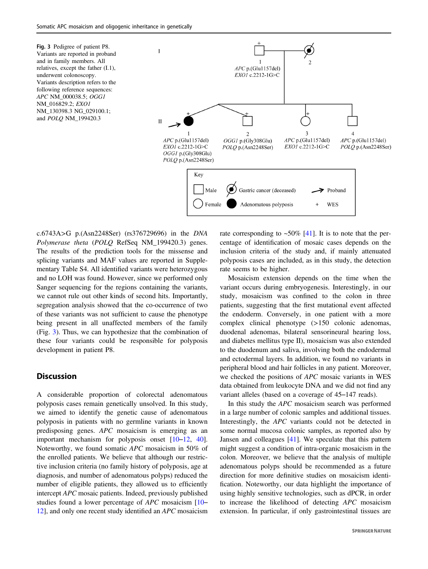Fig. 3 Pedigree of patient P8. Variants are reported in proband and in family members. All relatives, except the father (I.1), underwent colonoscopy. Variants description refers to the following reference sequences: APC NM\_000038.5; OGG1 NM\_016829.2; EXO1 NM\_130398.3 NG\_029100.1; and POLQ NM\_199420.3



c.6743A>G p.(Asn2248Ser) (rs376729696) in the DNA Polymerase theta (POLO RefSeq NM 199420.3) genes. The results of the prediction tools for the missense and splicing variants and MAF values are reported in Supplementary Table S4. All identified variants were heterozygous and no LOH was found. However, since we performed only Sanger sequencing for the regions containing the variants, we cannot rule out other kinds of second hits. Importantly, segregation analysis showed that the co-occurrence of two of these variants was not sufficient to cause the phenotype being present in all unaffected members of the family (Fig. 3). Thus, we can hypothesize that the combination of these four variants could be responsible for polyposis development in patient P8.

# **Discussion**

A considerable proportion of colorectal adenomatous polyposis cases remain genetically unsolved. In this study, we aimed to identify the genetic cause of adenomatous polyposis in patients with no germline variants in known predisposing genes. APC mosaicism is emerging as an important mechanism for polyposis onset [[10](#page-7-0)–[12,](#page-7-0) [40](#page-8-0)]. Noteworthy, we found somatic APC mosaicism in 50% of the enrolled patients. We believe that although our restrictive inclusion criteria (no family history of polyposis, age at diagnosis, and number of adenomatous polyps) reduced the number of eligible patients, they allowed us to efficiently intercept APC mosaic patients. Indeed, previously published studies found a lower percentage of APC mosaicism [\[10](#page-7-0)– [12](#page-7-0)], and only one recent study identified an APC mosaicism rate corresponding to  $\sim 50\%$  [\[41](#page-8-0)]. It is to note that the percentage of identification of mosaic cases depends on the inclusion criteria of the study and, if mainly attenuated polyposis cases are included, as in this study, the detection rate seems to be higher.

Mosaicism extension depends on the time when the variant occurs during embryogenesis. Interestingly, in our study, mosaicism was confined to the colon in three patients, suggesting that the first mutational event affected the endoderm. Conversely, in one patient with a more complex clinical phenotype (>150 colonic adenomas, duodenal adenomas, bilateral sensorineural hearing loss, and diabetes mellitus type II), mosaicism was also extended to the duodenum and saliva, involving both the endodermal and ectodermal layers. In addition, we found no variants in peripheral blood and hair follicles in any patient. Moreover, we checked the positions of APC mosaic variants in WES data obtained from leukocyte DNA and we did not find any variant alleles (based on a coverage of 45–147 reads).

In this study the APC mosaicism search was performed in a large number of colonic samples and additional tissues. Interestingly, the APC variants could not be detected in some normal mucosa colonic samples, as reported also by Jansen and colleagues [\[41](#page-8-0)]. We speculate that this pattern might suggest a condition of intra-organic mosaicism in the colon. Moreover, we believe that the analysis of multiple adenomatous polyps should be recommended as a future direction for more definitive studies on mosaicism identification. Noteworthy, our data highlight the importance of using highly sensitive technologies, such as dPCR, in order to increase the likelihood of detecting APC mosaicism extension. In particular, if only gastrointestinal tissues are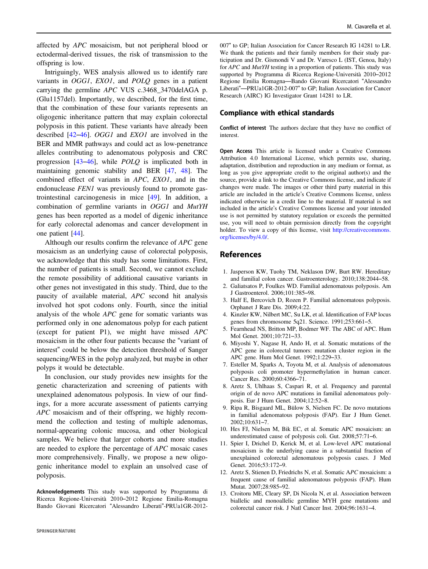<span id="page-7-0"></span>affected by APC mosaicism, but not peripheral blood or ectodermal-derived tissues, the risk of transmission to the offspring is low.

Intriguingly, WES analysis allowed us to identify rare variants in OGG1, EXO1, and POLQ genes in a patient carrying the germline APC VUS c.3468\_3470delAGA p. (Glu1157del). Importantly, we described, for the first time, that the combination of these four variants represents an oligogenic inheritance pattern that may explain colorectal polyposis in this patient. These variants have already been described [\[42](#page-8-0)–[46](#page-8-0)]. OGG1 and EXO1 are involved in the BER and MMR pathways and could act as low-penetrance alleles contributing to adenomatous polyposis and CRC progression [[43](#page-8-0)–[46\]](#page-8-0), while POLQ is implicated both in maintaining genomic stability and BER [[47,](#page-8-0) [48\]](#page-8-0). The combined effect of variants in APC, EXO1, and in the endonuclease FEN1 was previously found to promote gastrointestinal carcinogenesis in mice [[49\]](#page-8-0). In addition, a combination of germline variants in OGG1 and MutYH genes has been reported as a model of digenic inheritance for early colorectal adenomas and cancer development in one patient [\[44](#page-8-0)].

Although our results confirm the relevance of APC gene mosaicism as an underlying cause of colorectal polyposis, we acknowledge that this study has some limitations. First, the number of patients is small. Second, we cannot exclude the remote possibility of additional causative variants in other genes not investigated in this study. Third, due to the paucity of available material, APC second hit analysis involved hot spot codons only. Fourth, since the initial analysis of the whole APC gene for somatic variants was performed only in one adenomatous polyp for each patient (except for patient P1), we might have missed APC mosaicism in the other four patients because the "variant of interest" could be below the detection threshold of Sanger sequencing/WES in the polyp analyzed, but maybe in other polyps it would be detectable.

In conclusion, our study provides new insights for the genetic characterization and screening of patients with unexplained adenomatous polyposis. In view of our findings, for a more accurate assessment of patients carrying APC mosaicism and of their offspring, we highly recommend the collection and testing of multiple adenomas, normal-appearing colonic mucosa, and other biological samples. We believe that larger cohorts and more studies are needed to explore the percentage of APC mosaic cases more comprehensively. Finally, we propose a new oligogenic inheritance model to explain an unsolved case of polyposis.

Acknowledgements This study was supported by Programma di Ricerca Regione-Università 2010–2012 Regione Emilia-Romagna Bando Giovani Ricercatori "Alessandro Liberati"-PRUa1GR-2012007" to GP; Italian Association for Cancer Research IG 14281 to LR. We thank the patients and their family members for their study participation and Dr. Gismondi V and Dr. Varesco L (IST, Genoa, Italy) for APC and MutYH testing in a proportion of patients. This study was supported by Programma di Ricerca Regione-Università 2010–2012 Regione Emilia Romagna—Bando Giovani Ricercatori "Alessandro Liberati"—PRUa1GR-2012-007" to GP; Italian Association for Cancer Research (AIRC) IG Investigator Grant 14281 to LR.

#### Compliance with ethical standards

Conflict of interest The authors declare that they have no conflict of interest.

Open Access This article is licensed under a Creative Commons Attribution 4.0 International License, which permits use, sharing, adaptation, distribution and reproduction in any medium or format, as long as you give appropriate credit to the original author(s) and the source, provide a link to the Creative Commons license, and indicate if changes were made. The images or other third party material in this article are included in the article's Creative Commons license, unless indicated otherwise in a credit line to the material. If material is not included in the article's Creative Commons license and your intended use is not permitted by statutory regulation or exceeds the permitted use, you will need to obtain permission directly from the copyright holder. To view a copy of this license, visit [http://creativecommons.](http://creativecommons.org/licenses/by/4.0/) [org/licenses/by/4.0/](http://creativecommons.org/licenses/by/4.0/).

# References

- 1. Jasperson KW, Tuohy TM, Neklason DW, Burt RW. Hereditary and familial colon cancer. Gastroenterology. 2010;138:2044–58.
- 2. Galiatsatos P, Foulkes WD. Familial adenomatous polyposis. Am J Gastroenterol. 2006;101:385–98.
- 3. Half E, Bercovich D, Rozen P. Familial adenomatous polyposis. Orphanet J Rare Dis. 2009;4:22.
- 4. Kinzler KW, Nilbert MC, Su LK, et al. Identification of FAP locus genes from chromosome 5q21. Science. 1991;253:661–5.
- 5. Fearnhead NS, Britton MP, Bodmer WF. The ABC of APC. Hum Mol Genet. 2001;10:721–33.
- 6. Miyoshi Y, Nagase H, Ando H, et al. Somatic mutations of the APC gene in colorectal tumors: mutation cluster region in the APC gene. Hum Mol Genet. 1992;1:229–33.
- 7. Esteller M, Sparks A, Toyota M, et al. Analysis of adenomatous polyposis coli promoter hypermethylation in human cancer. Cancer Res. 2000;60:4366–71.
- 8. Aretz S, Uhlhaas S, Caspari R, et al. Frequency and parental origin of de novo APC mutations in familial adenomatous polyposis. Eur J Hum Genet. 2004;12:52–8.
- 9. Ripa R, Bisgaard ML, Bülow S, Nielsen FC. De novo mutations in familial adenomatous polyposis (FAP). Eur J Hum Genet. 2002;10:631–7.
- 10. Hes FJ, Nielsen M, Bik EC, et al. Somatic APC mosaicism: an underestimated cause of polyposis coli. Gut. 2008;57:71–6.
- 11. Spier I, Drichel D, Kerick M, et al. Low-level APC mutational mosaicism is the underlying cause in a substantial fraction of unexplained colorectal adenomatous polyposis cases. J Med Genet. 2016;53:172–9.
- 12. Aretz S, Stienen D, Friedrichs N, et al. Somatic APC mosaicism: a frequent cause of familial adenomatous polyposis (FAP). Hum Mutat. 2007;28:985–92.
- 13. Croitoru ME, Cleary SP, Di Nicola N, et al. Association between biallelic and monoallelic germline MYH gene mutations and colorectal cancer risk. J Natl Cancer Inst. 2004;96:1631–4.